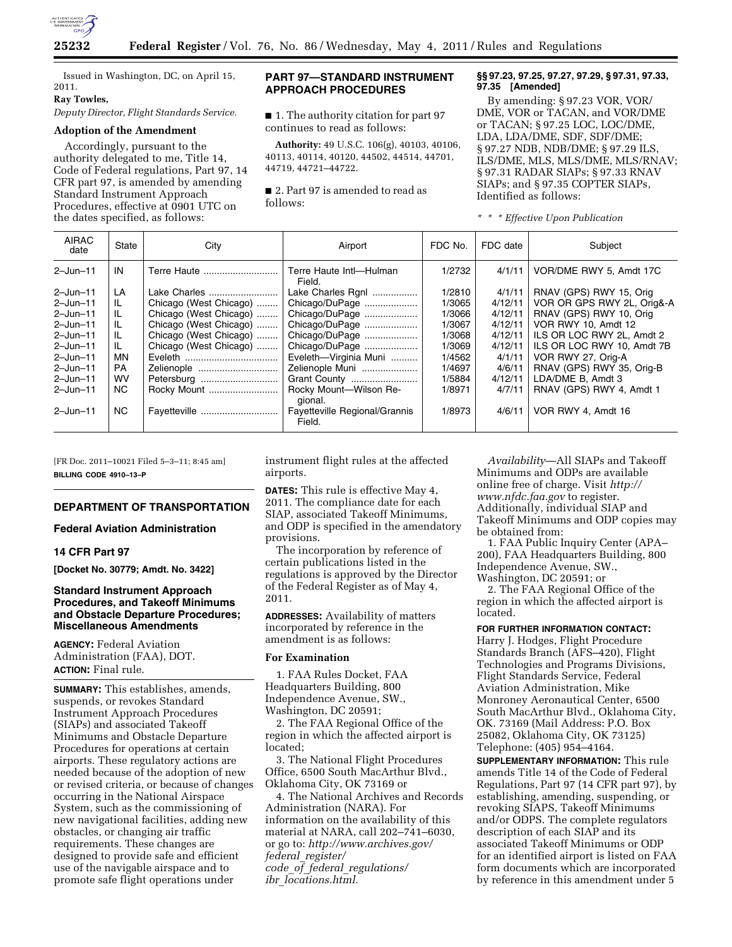

Issued in Washington, DC, on April 15, 2011.

#### **Ray Towles,**

# *Deputy Director, Flight Standards Service.*

# **Adoption of the Amendment**

Accordingly, pursuant to the authority delegated to me, Title 14, Code of Federal regulations, Part 97, 14 CFR part 97, is amended by amending Standard Instrument Approach Procedures, effective at 0901 UTC on the dates specified, as follows:

# **PART 97—STANDARD INSTRUMENT APPROACH PROCEDURES**

■ 1. The authority citation for part 97 continues to read as follows:

**Authority:** 49 U.S.C. 106(g), 40103, 40106, 40113, 40114, 40120, 44502, 44514, 44701, 44719, 44721–44722.

■ 2. Part 97 is amended to read as follows:

### **§§ 97.23, 97.25, 97.27, 97.29, § 97.31, 97.33, 97.35 [Amended]**

By amending: § 97.23 VOR, VOR/ DME, VOR or TACAN, and VOR/DME or TACAN; § 97.25 LOC, LOC/DME, LDA, LDA/DME, SDF, SDF/DME; § 97.27 NDB, NDB/DME; § 97.29 ILS, ILS/DME, MLS, MLS/DME, MLS/RNAV; § 97.31 RADAR SIAPs; § 97.33 RNAV SIAPs; and § 97.35 COPTER SIAPs, Identified as follows:

|  |  | * * * Effective Upon Publication |
|--|--|----------------------------------|
|  |  |                                  |

| <b>AIRAC</b><br>date | State     | City                   | Airport                                 | FDC No. | FDC date | Subject                    |
|----------------------|-----------|------------------------|-----------------------------------------|---------|----------|----------------------------|
| $2 - Jun - 11$       | IN        | Terre Haute            | Terre Haute Intl-Hulman<br>Field.       | 1/2732  | 4/1/11   | VOR/DME RWY 5. Amdt 17C    |
| $2 - Jun - 11$       | LA        | Lake Charles           | Lake Charles Rgnl                       | 1/2810  | 4/1/11   | RNAV (GPS) RWY 15, Orig    |
| $2 - Jun - 11$       | IL.       | Chicago (West Chicago) | Chicago/DuPage                          | 1/3065  | 4/12/11  | VOR OR GPS RWY 2L, Orig&-A |
| $2 - Jun - 11$       | IL.       | Chicago (West Chicago) | Chicago/DuPage                          | 1/3066  | 4/12/11  | RNAV (GPS) RWY 10, Orig    |
| $2 - Jun - 11$       | IL.       | Chicago (West Chicago) | Chicago/DuPage                          | 1/3067  | 4/12/11  | VOR RWY 10, Amdt 12        |
| $2 - Jun - 11$       | IL.       | Chicago (West Chicago) | Chicago/DuPage                          | 1/3068  | 4/12/11  | ILS OR LOC RWY 2L. Amdt 2  |
| $2 - Jun - 11$       | IL.       | Chicago (West Chicago) | Chicago/DuPage                          | 1/3069  | 4/12/11  | ILS OR LOC RWY 10. Amdt 7B |
| $2 - Jun - 11$       | MN        | Eveleth                | Eveleth-Virginia Muni                   | 1/4562  | 4/1/11   | VOR RWY 27, Orig-A         |
| $2 - Jun - 11$       | PA        | Zelienople             | Zelienople Muni                         | 1/4697  | 4/6/11   | RNAV (GPS) RWY 35, Orig-B  |
| $2 - Jun - 11$       | <b>WV</b> | Petersburg             | Grant County                            | 1/5884  | 4/12/11  | LDA/DME B. Amdt 3          |
| $2 - Jun - 11$       | NC.       | Rocky Mount            | Rocky Mount-Wilson Re-<br>qional.       | 1/8971  | 4/7/11   | RNAV (GPS) RWY 4, Amdt 1   |
| $2 - Jun - 11$       | NC.       | Fayetteville           | Fayetteville Regional/Grannis<br>Field. | 1/8973  | 4/6/11   | VOR RWY 4, Amdt 16         |

[FR Doc. 2011–10021 Filed 5–3–11; 8:45 am] **BILLING CODE 4910–13–P** 

#### **DEPARTMENT OF TRANSPORTATION**

#### **Federal Aviation Administration**

#### **14 CFR Part 97**

**[Docket No. 30779; Amdt. No. 3422]** 

# **Standard Instrument Approach Procedures, and Takeoff Minimums and Obstacle Departure Procedures; Miscellaneous Amendments**

**AGENCY:** Federal Aviation Administration (FAA), DOT. **ACTION:** Final rule.

**SUMMARY:** This establishes, amends, suspends, or revokes Standard Instrument Approach Procedures (SIAPs) and associated Takeoff Minimums and Obstacle Departure Procedures for operations at certain airports. These regulatory actions are needed because of the adoption of new or revised criteria, or because of changes occurring in the National Airspace System, such as the commissioning of new navigational facilities, adding new obstacles, or changing air traffic requirements. These changes are designed to provide safe and efficient use of the navigable airspace and to promote safe flight operations under

instrument flight rules at the affected airports.

**DATES:** This rule is effective May 4, 2011. The compliance date for each SIAP, associated Takeoff Minimums, and ODP is specified in the amendatory provisions.

The incorporation by reference of certain publications listed in the regulations is approved by the Director of the Federal Register as of May 4, 2011.

**ADDRESSES:** Availability of matters incorporated by reference in the amendment is as follows:

#### **For Examination**

1. FAA Rules Docket, FAA Headquarters Building, 800 Independence Avenue, SW., Washington, DC 20591;

2. The FAA Regional Office of the region in which the affected airport is located;

3. The National Flight Procedures Office, 6500 South MacArthur Blvd., Oklahoma City, OK 73169 or

4. The National Archives and Records Administration (NARA). For information on the availability of this material at NARA, call 202–741–6030, or go to: *[http://www.archives.gov/](http://www.archives.gov/federal_register/code_of_federal_regulations/ibr_locations.html)  federal*\_*register/ code*\_*of*\_*federal*\_*regulations/ ibr*\_*locations.html.* 

*Availability*—All SIAPs and Takeoff Minimums and ODPs are available online free of charge. Visit *[http://](http://www.nfdc.faa.gov)  [www.nfdc.faa.gov](http://www.nfdc.faa.gov)* to register. Additionally, individual SIAP and Takeoff Minimums and ODP copies may be obtained from:

1. FAA Public Inquiry Center (APA– 200), FAA Headquarters Building, 800 Independence Avenue, SW., Washington, DC 20591; or

2. The FAA Regional Office of the region in which the affected airport is located.

**FOR FURTHER INFORMATION CONTACT:**  Harry J. Hodges, Flight Procedure Standards Branch (AFS–420), Flight Technologies and Programs Divisions, Flight Standards Service, Federal Aviation Administration, Mike Monroney Aeronautical Center, 6500 South MacArthur Blvd., Oklahoma City, OK. 73169 (Mail Address: P.O. Box 25082, Oklahoma City, OK 73125) Telephone: (405) 954–4164.

**SUPPLEMENTARY INFORMATION:** This rule amends Title 14 of the Code of Federal Regulations, Part 97 (14 CFR part 97), by establishing, amending, suspending, or revoking SIAPS, Takeoff Minimums and/or ODPS. The complete regulators description of each SIAP and its associated Takeoff Minimums or ODP for an identified airport is listed on FAA form documents which are incorporated by reference in this amendment under 5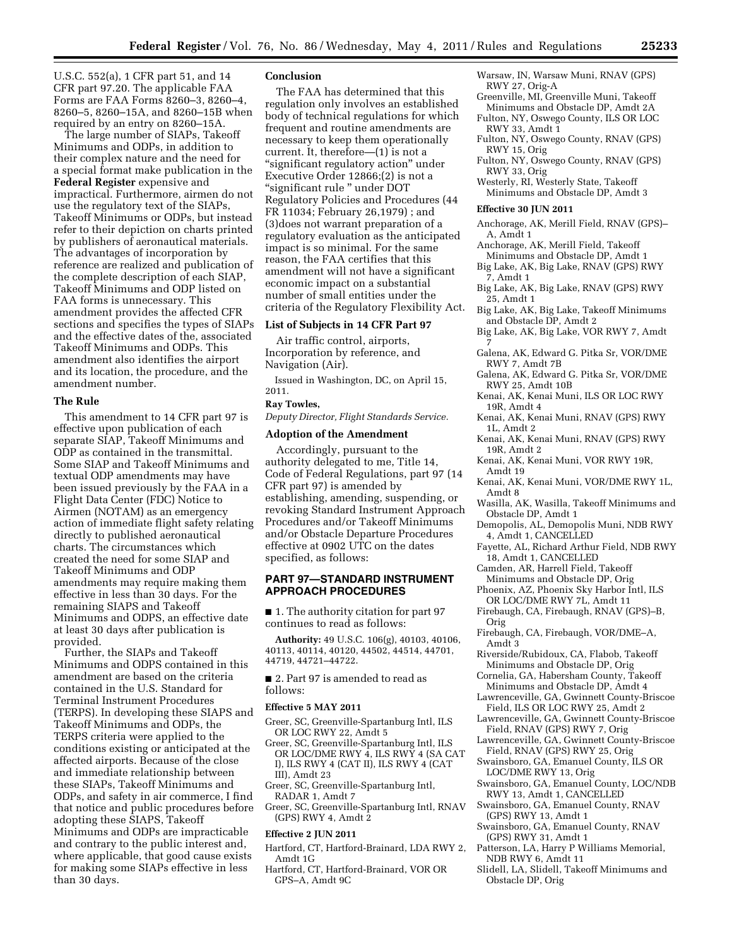U.S.C. 552(a), 1 CFR part 51, and 14 CFR part 97.20. The applicable FAA Forms are FAA Forms 8260–3, 8260–4, 8260–5, 8260–15A, and 8260–15B when required by an entry on 8260–15A.

The large number of SIAPs, Takeoff Minimums and ODPs, in addition to their complex nature and the need for a special format make publication in the **Federal Register** expensive and impractical. Furthermore, airmen do not use the regulatory text of the SIAPs, Takeoff Minimums or ODPs, but instead refer to their depiction on charts printed by publishers of aeronautical materials. The advantages of incorporation by reference are realized and publication of the complete description of each SIAP, Takeoff Minimums and ODP listed on FAA forms is unnecessary. This amendment provides the affected CFR sections and specifies the types of SIAPs and the effective dates of the, associated Takeoff Minimums and ODPs. This amendment also identifies the airport and its location, the procedure, and the amendment number.

#### **The Rule**

This amendment to 14 CFR part 97 is effective upon publication of each separate SIAP, Takeoff Minimums and ODP as contained in the transmittal. Some SIAP and Takeoff Minimums and textual ODP amendments may have been issued previously by the FAA in a Flight Data Center (FDC) Notice to Airmen (NOTAM) as an emergency action of immediate flight safety relating directly to published aeronautical charts. The circumstances which created the need for some SIAP and Takeoff Minimums and ODP amendments may require making them effective in less than 30 days. For the remaining SIAPS and Takeoff Minimums and ODPS, an effective date at least 30 days after publication is provided.

Further, the SIAPs and Takeoff Minimums and ODPS contained in this amendment are based on the criteria contained in the U.S. Standard for Terminal Instrument Procedures (TERPS). In developing these SIAPS and Takeoff Minimums and ODPs, the TERPS criteria were applied to the conditions existing or anticipated at the affected airports. Because of the close and immediate relationship between these SIAPs, Takeoff Minimums and ODPs, and safety in air commerce, I find that notice and public procedures before adopting these SIAPS, Takeoff Minimums and ODPs are impracticable and contrary to the public interest and, where applicable, that good cause exists for making some SIAPs effective in less than 30 days.

### **Conclusion**

The FAA has determined that this regulation only involves an established body of technical regulations for which frequent and routine amendments are necessary to keep them operationally current. It, therefore—(1) is not a ''significant regulatory action'' under Executive Order 12866;(2) is not a ''significant rule '' under DOT Regulatory Policies and Procedures (44 FR 11034; February 26,1979) ; and (3)does not warrant preparation of a regulatory evaluation as the anticipated impact is so minimal. For the same reason, the FAA certifies that this amendment will not have a significant economic impact on a substantial number of small entities under the criteria of the Regulatory Flexibility Act.

# **List of Subjects in 14 CFR Part 97**

Air traffic control, airports, Incorporation by reference, and Navigation (Air).

Issued in Washington, DC, on April 15, 2011.

# **Ray Towles,**

*Deputy Director, Flight Standards Service.* 

### **Adoption of the Amendment**

Accordingly, pursuant to the authority delegated to me, Title 14, Code of Federal Regulations, part 97 (14 CFR part 97) is amended by establishing, amending, suspending, or revoking Standard Instrument Approach Procedures and/or Takeoff Minimums and/or Obstacle Departure Procedures effective at 0902 UTC on the dates specified, as follows:

### **PART 97—STANDARD INSTRUMENT APPROACH PROCEDURES**

■ 1. The authority citation for part 97 continues to read as follows:

**Authority:** 49 U.S.C. 106(g), 40103, 40106, 40113, 40114, 40120, 44502, 44514, 44701, 44719, 44721–44722.

■ 2. Part 97 is amended to read as follows:

### **Effective 5 MAY 2011**

- Greer, SC, Greenville-Spartanburg Intl, ILS OR LOC RWY 22, Amdt 5
- Greer, SC, Greenville-Spartanburg Intl, ILS OR LOC/DME RWY 4, ILS RWY 4 (SA CAT I), ILS RWY 4 (CAT II), ILS RWY 4 (CAT III), Amdt 23
- Greer, SC, Greenville-Spartanburg Intl, RADAR 1, Amdt 7
- Greer, SC, Greenville-Spartanburg Intl, RNAV (GPS) RWY 4, Amdt 2

#### **Effective 2 JUN 2011**

- Hartford, CT, Hartford-Brainard, LDA RWY 2, Amdt 1G
- Hartford, CT, Hartford-Brainard, VOR OR GPS–A, Amdt 9C
- Warsaw, IN, Warsaw Muni, RNAV (GPS) RWY 27, Orig-A
- Greenville, MI, Greenville Muni, Takeoff Minimums and Obstacle DP, Amdt 2A
- Fulton, NY, Oswego County, ILS OR LOC RWY 33, Amdt 1
- Fulton, NY, Oswego County, RNAV (GPS) RWY 15, Orig
- Fulton, NY, Oswego County, RNAV (GPS) RWY 33, Orig
- Westerly, RI, Westerly State, Takeoff Minimums and Obstacle DP, Amdt 3

#### **Effective 30 JUN 2011**

- Anchorage, AK, Merill Field, RNAV (GPS)– A, Amdt 1
- Anchorage, AK, Merill Field, Takeoff
- Minimums and Obstacle DP, Amdt 1 Big Lake, AK, Big Lake, RNAV (GPS) RWY
- 7, Amdt 1
- Big Lake, AK, Big Lake, RNAV (GPS) RWY 25, Amdt 1
- Big Lake, AK, Big Lake, Takeoff Minimums and Obstacle DP, Amdt 2
- Big Lake, AK, Big Lake, VOR RWY 7, Amdt 7
- Galena, AK, Edward G. Pitka Sr, VOR/DME RWY 7, Amdt 7B
- Galena, AK, Edward G. Pitka Sr, VOR/DME RWY 25, Amdt 10B
- Kenai, AK, Kenai Muni, ILS OR LOC RWY 19R, Amdt 4
- Kenai, AK, Kenai Muni, RNAV (GPS) RWY 1L, Amdt 2
- Kenai, AK, Kenai Muni, RNAV (GPS) RWY 19R, Amdt 2
- Kenai, AK, Kenai Muni, VOR RWY 19R, Amdt 19
- Kenai, AK, Kenai Muni, VOR/DME RWY 1L, Amdt 8
- Wasilla, AK, Wasilla, Takeoff Minimums and Obstacle DP, Amdt 1
- Demopolis, AL, Demopolis Muni, NDB RWY 4, Amdt 1, CANCELLED
- Fayette, AL, Richard Arthur Field, NDB RWY 18, Amdt 1, CANCELLED
- Camden, AR, Harrell Field, Takeoff
- Minimums and Obstacle DP, Orig Phoenix, AZ, Phoenix Sky Harbor Intl, ILS
- OR LOC/DME RWY 7L, Amdt 11 Firebaugh, CA, Firebaugh, RNAV (GPS)–B,
- Orig
- Firebaugh, CA, Firebaugh, VOR/DME–A, Amdt 3
- Riverside/Rubidoux, CA, Flabob, Takeoff Minimums and Obstacle DP, Orig
- Cornelia, GA, Habersham County, Takeoff Minimums and Obstacle DP, Amdt 4
- Lawrenceville, GA, Gwinnett County-Briscoe Field, ILS OR LOC RWY 25, Amdt 2
- Lawrenceville, GA, Gwinnett County-Briscoe Field, RNAV (GPS) RWY 7, Orig
- Lawrenceville, GA, Gwinnett County-Briscoe Field, RNAV (GPS) RWY 25, Orig
- Swainsboro, GA, Emanuel County, ILS OR LOC/DME RWY 13, Orig
- Swainsboro, GA, Emanuel County, LOC/NDB RWY 13, Amdt 1, CANCELLED
- Swainsboro, GA, Emanuel County, RNAV (GPS) RWY 13, Amdt 1
- Swainsboro, GA, Emanuel County, RNAV (GPS) RWY 31, Amdt 1
- Patterson, LA, Harry P Williams Memorial, NDB RWY 6, Amdt 11
- Slidell, LA, Slidell, Takeoff Minimums and Obstacle DP, Orig